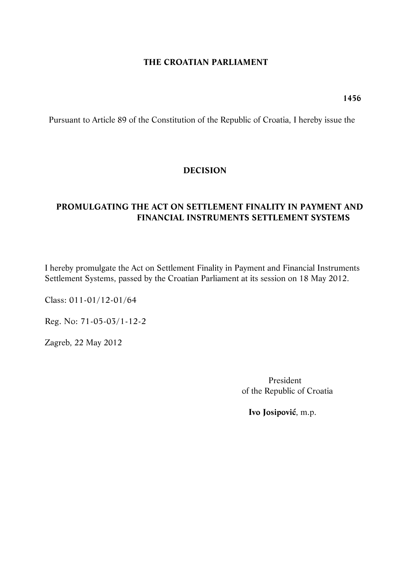### **THE CROATIAN PARLIAMENT**

**1456**

Pursuant to Article 89 of the Constitution of the Republic of Croatia, I hereby issue the

## **DECISION**

## **PROMULGATING THE ACT ON SETTLEMENT FINALITY IN PAYMENT AND FINANCIAL INSTRUMENTS SETTLEMENT SYSTEMS**

I hereby promulgate the Act on Settlement Finality in Payment and Financial Instruments Settlement Systems, passed by the Croatian Parliament at its session on 18 May 2012.

Class: 011-01/12-01/64

Reg. No: 71-05-03/1-12-2

Zagreb, 22 May 2012

President of the Republic of Croatia

**Ivo Josipović**, m.p.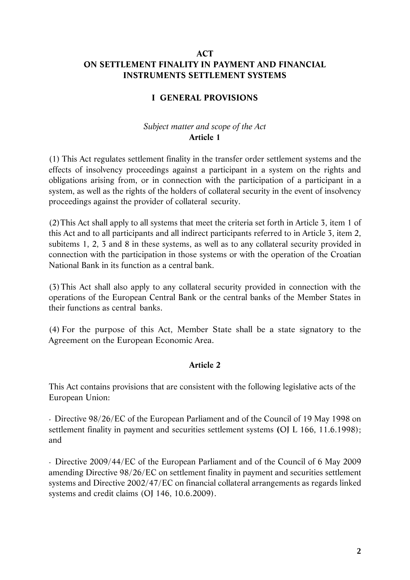## **ACT ON SETTLEMENT FINALITY IN PAYMENT AND FINANCIAL INSTRUMENTS SETTLEMENT SYSTEMS**

# **I GENERAL PROVISIONS**

### *Subject matter and scope of the Act*  **Article 1**

(1) This Act regulates settlement finality in the transfer order settlement systems and the effects of insolvency proceedings against a participant in a system on the rights and obligations arising from, or in connection with the participation of a participant in a system, as well as the rights of the holders of collateral security in the event of insolvency proceedings against the provider of collateral security.

(2)This Act shall apply to all systems that meet the criteria set forth in Article 3, item 1 of this Act and to all participants and all indirect participants referred to in Article 3, item 2, subitems 1, 2, 3 and 8 in these systems, as well as to any collateral security provided in connection with the participation in those systems or with the operation of the Croatian National Bank in its function as a central bank.

(3)This Act shall also apply to any collateral security provided in connection with the operations of the European Central Bank or the central banks of the Member States in their functions as central banks.

(4) For the purpose of this Act, Member State shall be a state signatory to the Agreement on the European Economic Area.

### **Article 2**

This Act contains provisions that are consistent with the following legislative acts of the European Union:

*-* Directive 98/26/EC of the European Parliament and of the Council of 19 May 1998 on settlement finality in payment and securities settlement systems **(**OJ L 166, 11.6.1998); and

*-* Directive 2009/44/EC of the European Parliament and of the Council of 6 May 2009 amending Directive 98/26/EC on settlement finality in payment and securities settlement systems and Directive 2002/47/EC on financial collateral arrangements as regards linked systems and credit claims (OJ 146, 10.6.2009).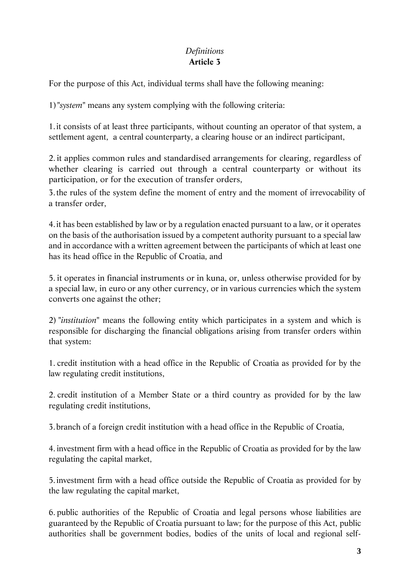# *Definitions*  **Article 3**

For the purpose of this Act, individual terms shall have the following meaning:

1)"*system*" means any system complying with the following criteria:

1.it consists of at least three participants, without counting an operator of that system, a settlement agent, a central counterparty, a clearing house or an indirect participant,

2. it applies common rules and standardised arrangements for clearing, regardless of whether clearing is carried out through a central counterparty or without its participation, or for the execution of transfer orders,

3.the rules of the system define the moment of entry and the moment of irrevocability of a transfer order,

4.it has been established by law or by a regulation enacted pursuant to a law, or it operates on the basis of the authorisation issued by a competent authority pursuant to a special law and in accordance with a written agreement between the participants of which at least one has its head office in the Republic of Croatia, and

5. it operates in financial instruments or in kuna, or, unless otherwise provided for by a special law, in euro or any other currency, or in various currencies which the system converts one against the other;

2) "*institution*" means the following entity which participates in a system and which is responsible for discharging the financial obligations arising from transfer orders within that system:

1. credit institution with a head office in the Republic of Croatia as provided for by the law regulating credit institutions,

2. credit institution of a Member State or a third country as provided for by the law regulating credit institutions,

3.branch of a foreign credit institution with a head office in the Republic of Croatia,

4. investment firm with a head office in the Republic of Croatia as provided for by the law regulating the capital market,

5.investment firm with a head office outside the Republic of Croatia as provided for by the law regulating the capital market,

6. public authorities of the Republic of Croatia and legal persons whose liabilities are guaranteed by the Republic of Croatia pursuant to law; for the purpose of this Act, public authorities shall be government bodies, bodies of the units of local and regional self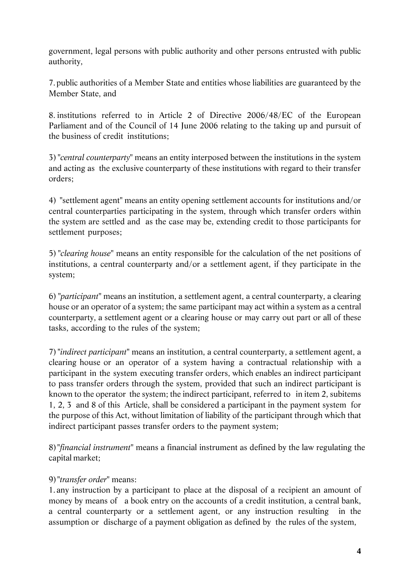government, legal persons with public authority and other persons entrusted with public authority,

7.public authorities of a Member State and entities whose liabilities are guaranteed by the Member State, and

8. institutions referred to in Article 2 of Directive 2006/48/EC of the European Parliament and of the Council of 14 June 2006 relating to the taking up and pursuit of the business of credit institutions;

3) "*central counterparty*" means an entity interposed between the institutions in the system and acting as the exclusive counterparty of these institutions with regard to their transfer orders;

4) "settlement agent" means an entity opening settlement accounts for institutions and/or central counterparties participating in the system, through which transfer orders within the system are settled and as the case may be, extending credit to those participants for settlement purposes;

5) "*clearing house*" means an entity responsible for the calculation of the net positions of institutions, a central counterparty and/or a settlement agent, if they participate in the system;

6) "*participant*" means an institution, a settlement agent, a central counterparty, a clearing house or an operator of a system; the same participant may act within a system as a central counterparty, a settlement agent or a clearing house or may carry out part or all of these tasks, according to the rules of the system;

7) "*indirect participant*" means an institution, a central counterparty, a settlement agent, a clearing house or an operator of a system having a contractual relationship with a participant in the system executing transfer orders, which enables an indirect participant to pass transfer orders through the system, provided that such an indirect participant is known to the operator the system; the indirect participant, referred to in item 2, subitems 1, 2, 3 and 8 of this Article, shall be considered a participant in the payment system for the purpose of this Act, without limitation of liability of the participant through which that indirect participant passes transfer orders to the payment system;

8)"*financial instrument*" means a financial instrument as defined by the law regulating the capital market;

# 9)"*transfer order*" means:

1. any instruction by a participant to place at the disposal of a recipient an amount of money by means of a book entry on the accounts of a credit institution, a central bank, a central counterparty or a settlement agent, or any instruction resulting in the assumption or discharge of a payment obligation as defined by the rules of the system,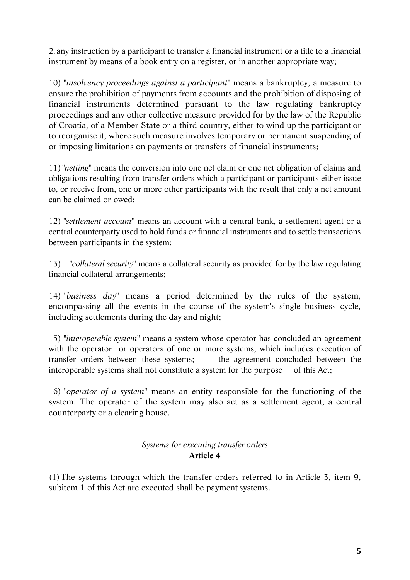2. any instruction by a participant to transfer a financial instrument or a title to a financial instrument by means of a book entry on a register, or in another appropriate way;

10) "*insolvency proceedings against a participant*" means a bankruptcy, a measure to ensure the prohibition of payments from accounts and the prohibition of disposing of financial instruments determined pursuant to the law regulating bankruptcy proceedings and any other collective measure provided for by the law of the Republic of Croatia, of a Member State or a third country, either to wind up the participant or to reorganise it, where such measure involves temporary or permanent suspending of or imposing limitations on payments or transfers of financial instruments;

11) "*netting*" means the conversion into one net claim or one net obligation of claims and obligations resulting from transfer orders which a participant or participants either issue to, or receive from, one or more other participants with the result that only a net amount can be claimed or owed;

12) "*settlement account*" means an account with a central bank, a settlement agent or a central counterparty used to hold funds or financial instruments and to settle transactions between participants in the system;

13) "*collateral security*" means a collateral security as provided for by the law regulating financial collateral arrangements;

14) "*business day*" means a period determined by the rules of the system, encompassing all the events in the course of the system's single business cycle, including settlements during the day and night;

15) "*interoperable system*" means a system whose operator has concluded an agreement with the operator or operators of one or more systems, which includes execution of transfer orders between these systems; the agreement concluded between the interoperable systems shall not constitute a system for the purpose of this Act;

16) "*operator of a system*" means an entity responsible for the functioning of the system. The operator of the system may also act as a settlement agent, a central counterparty or a clearing house.

# *Systems for executing transfer orders*  **Article 4**

(1)The systems through which the transfer orders referred to in Article 3, item 9, subitem 1 of this Act are executed shall be payment systems.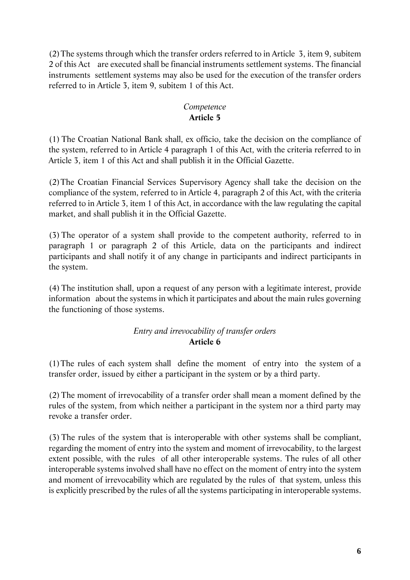(2)The systems through which the transfer orders referred to in Article 3, item 9, subitem 2 of this Act are executed shall be financial instruments settlement systems. The financial instruments settlement systems may also be used for the execution of the transfer orders referred to in Article 3, item 9, subitem 1 of this Act.

## *Competence*  **Article 5**

(1)The Croatian National Bank shall, ex officio, take the decision on the compliance of the system, referred to in Article 4 paragraph 1 of this Act, with the criteria referred to in Article 3, item 1 of this Act and shall publish it in the Official Gazette.

(2)The Croatian Financial Services Supervisory Agency shall take the decision on the compliance of the system, referred to in Article 4, paragraph 2 of this Act, with the criteria referred to in Article 3, item 1 of this Act, in accordance with the law regulating the capital market, and shall publish it in the Official Gazette.

(3)The operator of a system shall provide to the competent authority, referred to in paragraph 1 or paragraph 2 of this Article, data on the participants and indirect participants and shall notify it of any change in participants and indirect participants in the system.

(4)The institution shall, upon a request of any person with a legitimate interest, provide information about the systems in which it participates and about the main rules governing the functioning of those systems.

# *Entry and irrevocability of transfer orders*  **Article 6**

(1)The rules of each system shall define the moment of entry into the system of a transfer order, issued by either a participant in the system or by a third party.

(2)The moment of irrevocability of a transfer order shall mean a moment defined by the rules of the system, from which neither a participant in the system nor a third party may revoke a transfer order.

(3)The rules of the system that is interoperable with other systems shall be compliant, regarding the moment of entry into the system and moment of irrevocability, to the largest extent possible, with the rules of all other interoperable systems. The rules of all other interoperable systems involved shall have no effect on the moment of entry into the system and moment of irrevocability which are regulated by the rules of that system, unless this is explicitly prescribed by the rules of all the systems participating in interoperable systems.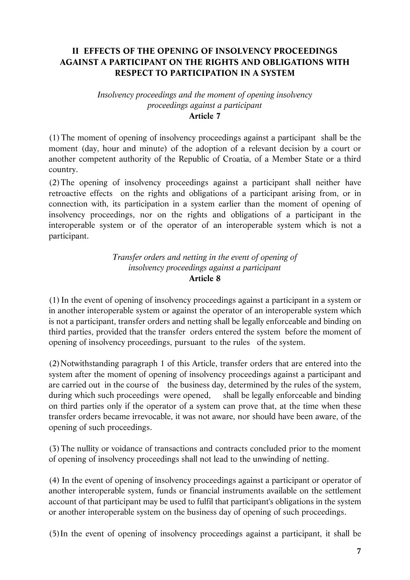## **II EFFECTS OF THE OPENING OF INSOLVENCY PROCEEDINGS AGAINST A PARTICIPANT ON THE RIGHTS AND OBLIGATIONS WITH RESPECT TO PARTICIPATION IN A SYSTEM**

#### *Insolvency proceedings and the moment of opening insolvency proceedings against a participant*  **Article 7**

(1)The moment of opening of insolvency proceedings against a participant shall be the moment (day, hour and minute) of the adoption of a relevant decision by a court or another competent authority of the Republic of Croatia, of a Member State or a third country.

(2)The opening of insolvency proceedings against a participant shall neither have retroactive effects on the rights and obligations of a participant arising from, or in connection with, its participation in a system earlier than the moment of opening of insolvency proceedings, nor on the rights and obligations of a participant in the interoperable system or of the operator of an interoperable system which is not a participant.

#### *Transfer orders and netting in the event of opening of insolvency proceedings against a participant*  **Article 8**

(1) In the event of opening of insolvency proceedings against a participant in a system or in another interoperable system or against the operator of an interoperable system which is not a participant, transfer orders and netting shall be legally enforceable and binding on third parties, provided that the transfer orders entered the system before the moment of opening of insolvency proceedings, pursuant to the rules of the system.

(2)Notwithstanding paragraph 1 of this Article, transfer orders that are entered into the system after the moment of opening of insolvency proceedings against a participant and are carried out in the course of the business day, determined by the rules of the system, during which such proceedings were opened, shall be legally enforceable and binding on third parties only if the operator of a system can prove that, at the time when these transfer orders became irrevocable, it was not aware, nor should have been aware, of the opening of such proceedings.

(3)The nullity or voidance of transactions and contracts concluded prior to the moment of opening of insolvency proceedings shall not lead to the unwinding of netting.

(4) In the event of opening of insolvency proceedings against a participant or operator of another interoperable system, funds or financial instruments available on the settlement account of that participant may be used to fulfil that participant's obligations in the system or another interoperable system on the business day of opening of such proceedings.

(5)In the event of opening of insolvency proceedings against a participant, it shall be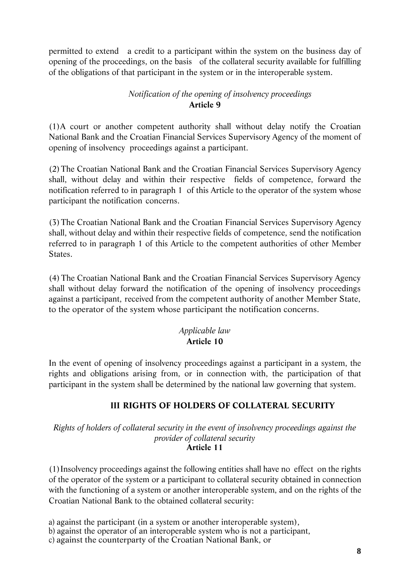permitted to extend a credit to a participant within the system on the business day of opening of the proceedings, on the basis of the collateral security available for fulfilling of the obligations of that participant in the system or in the interoperable system.

# *Notification of the opening of insolvency proceedings*  **Article 9**

(1)A court or another competent authority shall without delay notify the Croatian National Bank and the Croatian Financial Services Supervisory Agency of the moment of opening of insolvency proceedings against a participant.

(2)The Croatian National Bank and the Croatian Financial Services Supervisory Agency shall, without delay and within their respective fields of competence, forward the notification referred to in paragraph 1 of this Article to the operator of the system whose participant the notification concerns.

(3)The Croatian National Bank and the Croatian Financial Services Supervisory Agency shall, without delay and within their respective fields of competence, send the notification referred to in paragraph 1 of this Article to the competent authorities of other Member States.

(4)The Croatian National Bank and the Croatian Financial Services Supervisory Agency shall without delay forward the notification of the opening of insolvency proceedings against a participant, received from the competent authority of another Member State, to the operator of the system whose participant the notification concerns.

### *Applicable law*  **Article 10**

In the event of opening of insolvency proceedings against a participant in a system, the rights and obligations arising from, or in connection with, the participation of that participant in the system shall be determined by the national law governing that system.

# **III RIGHTS OF HOLDERS OF COLLATERAL SECURITY**

*Rights of holders of collateral security in the event of insolvency proceedings against the provider of collateral security*  **Article 11** 

(1)Insolvency proceedings against the following entities shall have no effect on the rights of the operator of the system or a participant to collateral security obtained in connection with the functioning of a system or another interoperable system, and on the rights of the Croatian National Bank to the obtained collateral security:

a) against the participant (in a system or another interoperable system), b) against the operator of an interoperable system who is not a participant, c) against the counterparty of the Croatian National Bank, or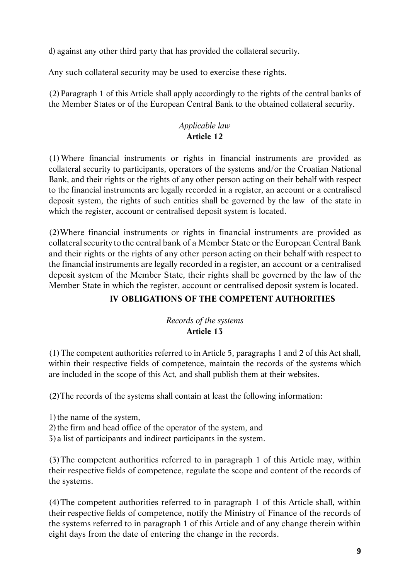d) against any other third party that has provided the collateral security.

Any such collateral security may be used to exercise these rights.

(2)Paragraph 1 of this Article shall apply accordingly to the rights of the central banks of the Member States or of the European Central Bank to the obtained collateral security.

# *Applicable law*  **Article 12**

(1)Where financial instruments or rights in financial instruments are provided as collateral security to participants, operators of the systems and/or the Croatian National Bank, and their rights or the rights of any other person acting on their behalf with respect to the financial instruments are legally recorded in a register, an account or a centralised deposit system, the rights of such entities shall be governed by the law of the state in which the register, account or centralised deposit system is located.

(2)Where financial instruments or rights in financial instruments are provided as collateral security to the central bank of a Member State or the European Central Bank and their rights or the rights of any other person acting on their behalf with respect to the financial instruments are legally recorded in a register, an account or a centralised deposit system of the Member State, their rights shall be governed by the law of the Member State in which the register, account or centralised deposit system is located.

# **IV OBLIGATIONS OF THE COMPETENT AUTHORITIES**

# *Records of the systems*  **Article 13**

(1)The competent authorities referred to in Article 5, paragraphs 1 and 2 of this Act shall, within their respective fields of competence, maintain the records of the systems which are included in the scope of this Act, and shall publish them at their websites.

(2)The records of the systems shall contain at least the following information:

1) the name of the system, 2)the firm and head office of the operator of the system, and

3)a list of participants and indirect participants in the system.

(3)The competent authorities referred to in paragraph 1 of this Article may, within their respective fields of competence, regulate the scope and content of the records of the systems.

(4)The competent authorities referred to in paragraph 1 of this Article shall, within their respective fields of competence, notify the Ministry of Finance of the records of the systems referred to in paragraph 1 of this Article and of any change therein within eight days from the date of entering the change in the records.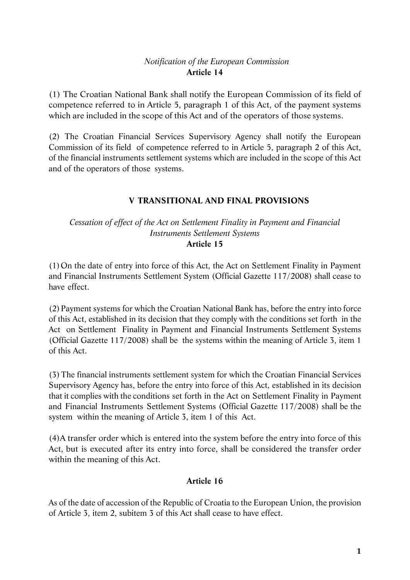# *Notification of the European Commission*  **Article 14**

(1) The Croatian National Bank shall notify the European Commission of its field of competence referred to in Article 5, paragraph 1 of this Act, of the payment systems which are included in the scope of this Act and of the operators of those systems.

(2) The Croatian Financial Services Supervisory Agency shall notify the European Commission of its field of competence referred to in Article 5, paragraph 2 of this Act, of the financial instruments settlement systems which are included in the scope of this Act and of the operators of those systems.

## **V TRANSITIONAL AND FINAL PROVISIONS**

### *Cessation of effect of the Act on Settlement Finality in Payment and Financial Instruments Settlement Systems*  **Article 15**

(1)On the date of entry into force of this Act, the Act on Settlement Finality in Payment and Financial Instruments Settlement System (Official Gazette 117/2008) shall cease to have effect.

(2)Payment systems for which the Croatian National Bank has, before the entry into force of this Act, established in its decision that they comply with the conditions set forth in the Act on Settlement Finality in Payment and Financial Instruments Settlement Systems (Official Gazette 117/2008) shall be the systems within the meaning of Article 3, item 1 of this Act.

(3)The financial instruments settlement system for which the Croatian Financial Services Supervisory Agency has, before the entry into force of this Act, established in its decision that it complies with the conditions set forth in the Act on Settlement Finality in Payment and Financial Instruments Settlement Systems (Official Gazette 117/2008) shall be the system within the meaning of Article 3, item 1 of this Act.

(4)A transfer order which is entered into the system before the entry into force of this Act, but is executed after its entry into force, shall be considered the transfer order within the meaning of this Act.

### **Article 16**

As of the date of accession of the Republic of Croatia to the European Union, the provision of Article 3, item 2, subitem 3 of this Act shall cease to have effect.